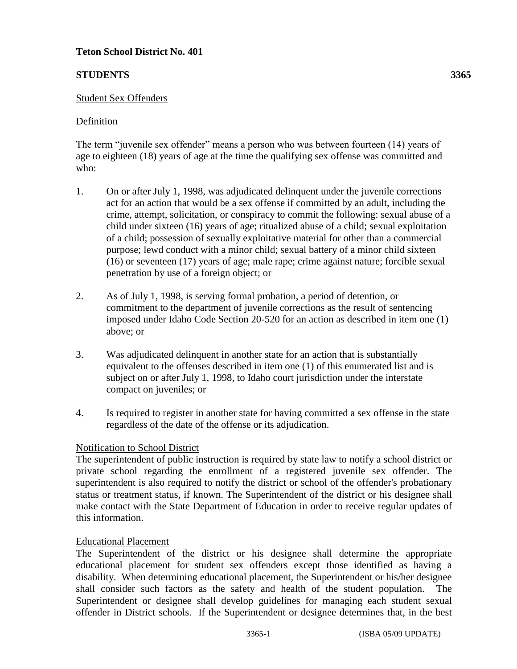# **Teton School District No. 401**

# **STUDENTS 3365**

### Student Sex Offenders

### Definition

The term "juvenile sex offender" means a person who was between fourteen (14) years of age to eighteen (18) years of age at the time the qualifying sex offense was committed and who:

- 1. On or after July 1, 1998, was adjudicated delinquent under the juvenile corrections act for an action that would be a sex offense if committed by an adult, including the crime, attempt, solicitation, or conspiracy to commit the following: sexual abuse of a child under sixteen (16) years of age; ritualized abuse of a child; sexual exploitation of a child; possession of sexually exploitative material for other than a commercial purpose; lewd conduct with a minor child; sexual battery of a minor child sixteen (16) or seventeen (17) years of age; male rape; crime against nature; forcible sexual penetration by use of a foreign object; or
- 2. As of July 1, 1998, is serving formal probation, a period of detention, or commitment to the department of juvenile corrections as the result of sentencing imposed under Idaho Code Section 20-520 for an action as described in item one (1) above; or
- 3. Was adjudicated delinquent in another state for an action that is substantially equivalent to the offenses described in item one (1) of this enumerated list and is subject on or after July 1, 1998, to Idaho court jurisdiction under the interstate compact on juveniles; or
- 4. Is required to register in another state for having committed a sex offense in the state regardless of the date of the offense or its adjudication.

## Notification to School District

The superintendent of public instruction is required by state law to notify a school district or private school regarding the enrollment of a registered juvenile sex offender. The superintendent is also required to notify the district or school of the offender's probationary status or treatment status, if known. The Superintendent of the district or his designee shall make contact with the State Department of Education in order to receive regular updates of this information.

#### Educational Placement

The Superintendent of the district or his designee shall determine the appropriate educational placement for student sex offenders except those identified as having a disability. When determining educational placement, the Superintendent or his/her designee shall consider such factors as the safety and health of the student population. The Superintendent or designee shall develop guidelines for managing each student sexual offender in District schools. If the Superintendent or designee determines that, in the best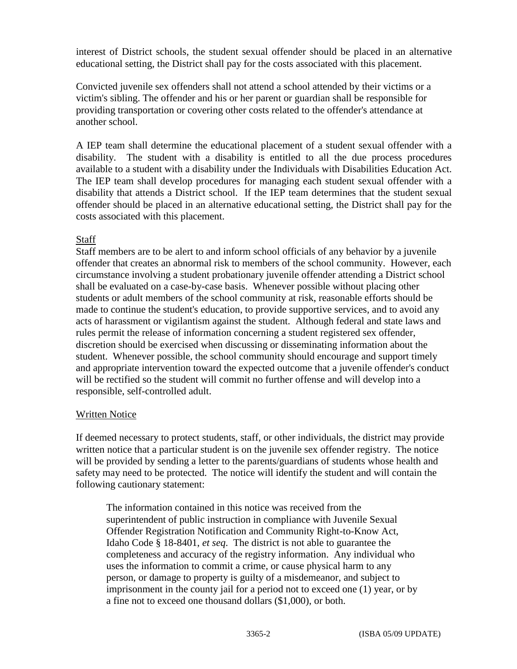interest of District schools, the student sexual offender should be placed in an alternative educational setting, the District shall pay for the costs associated with this placement.

Convicted juvenile sex offenders shall not attend a school attended by their victims or a victim's sibling. The offender and his or her parent or guardian shall be responsible for providing transportation or covering other costs related to the offender's attendance at another school.

A IEP team shall determine the educational placement of a student sexual offender with a disability. The student with a disability is entitled to all the due process procedures available to a student with a disability under the Individuals with Disabilities Education Act. The IEP team shall develop procedures for managing each student sexual offender with a disability that attends a District school. If the IEP team determines that the student sexual offender should be placed in an alternative educational setting, the District shall pay for the costs associated with this placement.

## **Staff**

Staff members are to be alert to and inform school officials of any behavior by a juvenile offender that creates an abnormal risk to members of the school community. However, each circumstance involving a student probationary juvenile offender attending a District school shall be evaluated on a case-by-case basis. Whenever possible without placing other students or adult members of the school community at risk, reasonable efforts should be made to continue the student's education, to provide supportive services, and to avoid any acts of harassment or vigilantism against the student. Although federal and state laws and rules permit the release of information concerning a student registered sex offender, discretion should be exercised when discussing or disseminating information about the student. Whenever possible, the school community should encourage and support timely and appropriate intervention toward the expected outcome that a juvenile offender's conduct will be rectified so the student will commit no further offense and will develop into a responsible, self-controlled adult.

## Written Notice

If deemed necessary to protect students, staff, or other individuals, the district may provide written notice that a particular student is on the juvenile sex offender registry. The notice will be provided by sending a letter to the parents/guardians of students whose health and safety may need to be protected. The notice will identify the student and will contain the following cautionary statement:

The information contained in this notice was received from the superintendent of public instruction in compliance with Juvenile Sexual Offender Registration Notification and Community Right-to-Know Act, Idaho Code § 18-8401, *et seq*. The district is not able to guarantee the completeness and accuracy of the registry information. Any individual who uses the information to commit a crime, or cause physical harm to any person, or damage to property is guilty of a misdemeanor, and subject to imprisonment in the county jail for a period not to exceed one (1) year, or by a fine not to exceed one thousand dollars (\$1,000), or both.